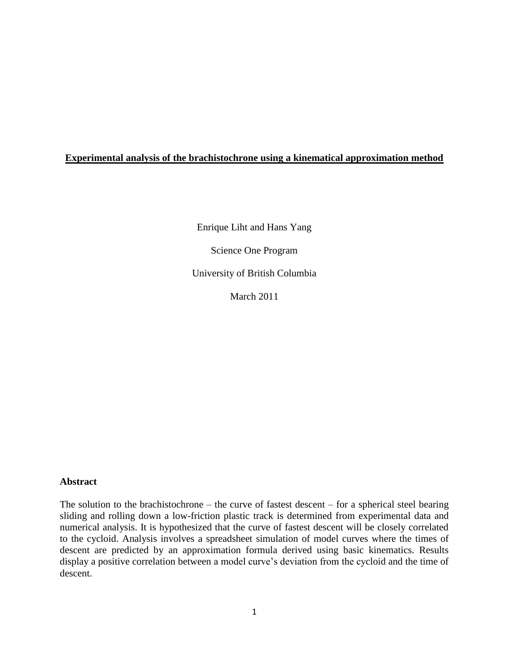## **Experimental analysis of the brachistochrone using a kinematical approximation method**

Enrique Liht and Hans Yang

Science One Program

University of British Columbia

March 2011

## **Abstract**

The solution to the brachistochrone – the curve of fastest descent – for a spherical steel bearing sliding and rolling down a low-friction plastic track is determined from experimental data and numerical analysis. It is hypothesized that the curve of fastest descent will be closely correlated to the cycloid. Analysis involves a spreadsheet simulation of model curves where the times of descent are predicted by an approximation formula derived using basic kinematics. Results display a positive correlation between a model curve's deviation from the cycloid and the time of descent.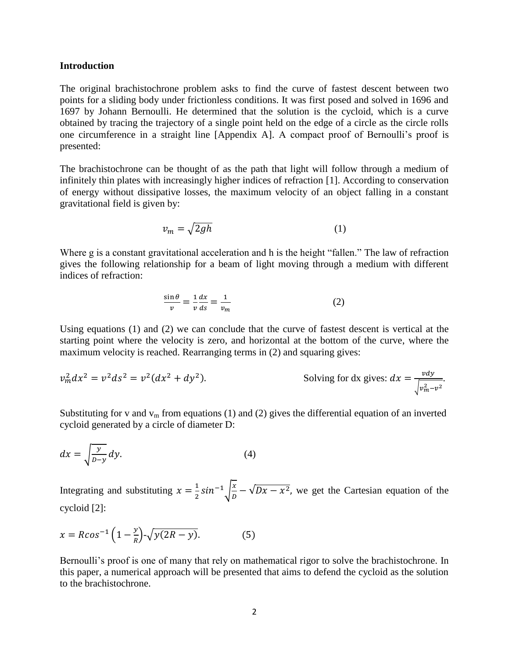#### **Introduction**

The original brachistochrone problem asks to find the curve of fastest descent between two points for a sliding body under frictionless conditions. It was first posed and solved in 1696 and 1697 by Johann Bernoulli. He determined that the solution is the cycloid, which is a curve obtained by tracing the trajectory of a single point held on the edge of a circle as the circle rolls one circumference in a straight line [Appendix A]. A compact proof of Bernoulli's proof is presented:

The brachistochrone can be thought of as the path that light will follow through a medium of infinitely thin plates with increasingly higher indices of refraction [1]. According to conservation of energy without dissipative losses, the maximum velocity of an object falling in a constant gravitational field is given by:

$$
v_m = \sqrt{2gh} \tag{1}
$$

Where g is a constant gravitational acceleration and h is the height "fallen." The law of refraction gives the following relationship for a beam of light moving through a medium with different indices of refraction:

$$
\frac{\sin \theta}{v} = -\frac{1}{v} \frac{dx}{ds} = \frac{1}{v_m} \tag{2}
$$

Using equations (1) and (2) we can conclude that the curve of fastest descent is vertical at the starting point where the velocity is zero, and horizontal at the bottom of the curve, where the maximum velocity is reached. Rearranging terms in (2) and squaring gives:

$$
v_m^2 dx^2 = v^2 ds^2 = v^2 (dx^2 + dy^2).
$$
 Solving for dx gives:  $dx = \frac{v dy}{\sqrt{v_m^2 - v^2}}$ .

Substituting for v and  $v_m$  from equations (1) and (2) gives the differential equation of an inverted cycloid generated by a circle of diameter D:

$$
dx = \sqrt{\frac{y}{D - y}} dy.
$$
 (4)

Integrating and substituting  $x = \frac{1}{2}$  $rac{1}{2}$ sin<sup>-1</sup> $\sqrt{\frac{x}{D}}$  $\frac{x}{D} - \sqrt{Dx - x^2}$ , we get the Cartesian equation of the cycloid [2]:

$$
x = R\cos^{-1}\left(1 - \frac{y}{R}\right) - \sqrt{y(2R - y)}.
$$
 (5)

Bernoulli's proof is one of many that rely on mathematical rigor to solve the brachistochrone. In this paper, a numerical approach will be presented that aims to defend the cycloid as the solution to the brachistochrone.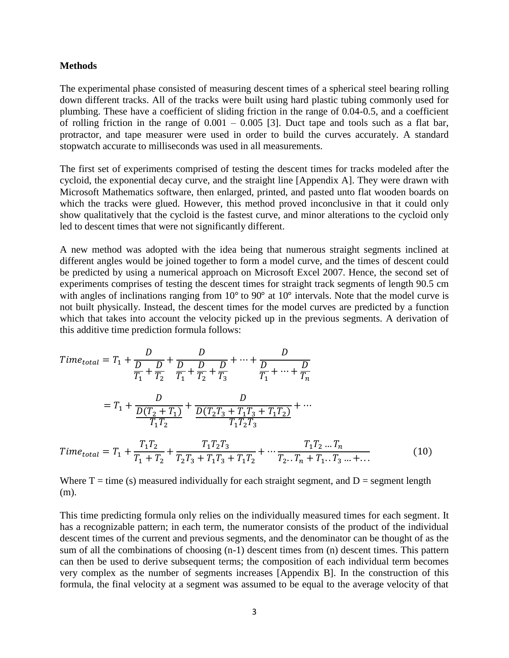#### **Methods**

The experimental phase consisted of measuring descent times of a spherical steel bearing rolling down different tracks. All of the tracks were built using hard plastic tubing commonly used for plumbing. These have a coefficient of sliding friction in the range of 0.04-0.5, and a coefficient of rolling friction in the range of  $0.001 - 0.005$  [3]. Duct tape and tools such as a flat bar, protractor, and tape measurer were used in order to build the curves accurately. A standard stopwatch accurate to milliseconds was used in all measurements.

The first set of experiments comprised of testing the descent times for tracks modeled after the cycloid, the exponential decay curve, and the straight line [Appendix A]. They were drawn with Microsoft Mathematics software, then enlarged, printed, and pasted unto flat wooden boards on which the tracks were glued. However, this method proved inconclusive in that it could only show qualitatively that the cycloid is the fastest curve, and minor alterations to the cycloid only led to descent times that were not significantly different.

A new method was adopted with the idea being that numerous straight segments inclined at different angles would be joined together to form a model curve, and the times of descent could be predicted by using a numerical approach on Microsoft Excel 2007. Hence, the second set of experiments comprises of testing the descent times for straight track segments of length 90.5 cm with angles of inclinations ranging from  $10^{\circ}$  to  $90^{\circ}$  at  $10^{\circ}$  intervals. Note that the model curve is not built physically. Instead, the descent times for the model curves are predicted by a function which that takes into account the velocity picked up in the previous segments. A derivation of this additive time prediction formula follows:

$$
Time_{total} = T_1 + \frac{D}{D_1} + \frac{D}{D_2} + \frac{D}{T_1} + \frac{D}{T_2} + \frac{D}{T_3} + \dots + \frac{D}{D_{T_1} + \dots + \frac{D}{T_n}}
$$
\n
$$
= T_1 + \frac{D}{D(T_2 + T_1)} + \frac{D}{D(T_2T_3 + T_1T_3 + T_1T_2)} + \dots
$$
\n
$$
Time_{total} = T_1 + \frac{T_1T_2}{T_1 + T_2} + \frac{T_1T_2T_3}{T_2T_3 + T_1T_3 + T_1T_2} + \dots + \frac{T_1T_2 \dots T_n}{T_2 \dots T_n + T_1 \dots T_3 \dots + \dots}
$$
\n(10)

Where  $T =$  time (s) measured individually for each straight segment, and  $D =$  segment length (m).

This time predicting formula only relies on the individually measured times for each segment. It has a recognizable pattern; in each term, the numerator consists of the product of the individual descent times of the current and previous segments, and the denominator can be thought of as the sum of all the combinations of choosing (n-1) descent times from (n) descent times. This pattern can then be used to derive subsequent terms; the composition of each individual term becomes very complex as the number of segments increases [Appendix B]. In the construction of this formula, the final velocity at a segment was assumed to be equal to the average velocity of that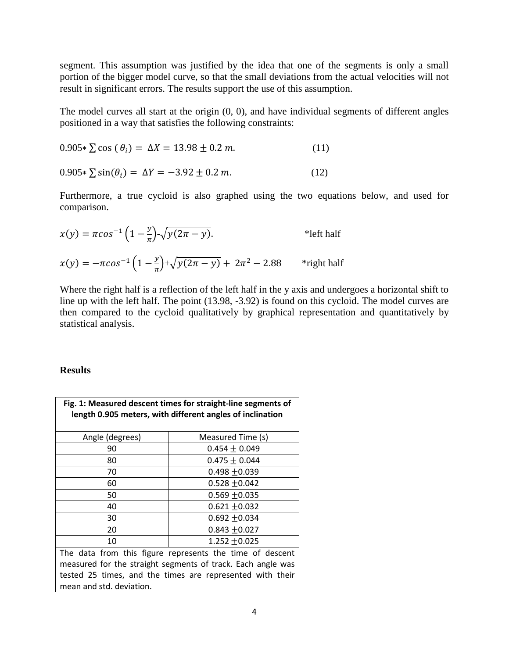segment. This assumption was justified by the idea that one of the segments is only a small portion of the bigger model curve, so that the small deviations from the actual velocities will not result in significant errors. The results support the use of this assumption.

The model curves all start at the origin (0, 0), and have individual segments of different angles positioned in a way that satisfies the following constraints:

$$
0.905 \times \sum \cos(\theta_i) = \Delta X = 13.98 \pm 0.2 \, m. \tag{11}
$$

 $0.905 \times \sum \sin(\theta_i) = \Delta Y = -3.92 \pm 0.2 \ m.$  (12)

Furthermore, a true cycloid is also graphed using the two equations below, and used for comparison.

$$
x(y) = \pi \cos^{-1} \left( 1 - \frac{y}{\pi} \right) - \sqrt{y(2\pi - y)}.
$$
 \*left half  

$$
x(y) = -\pi \cos^{-1} \left( 1 - \frac{y}{\pi} \right) + \sqrt{y(2\pi - y)} + 2\pi^2 - 2.88
$$
 \*right half

Where the right half is a reflection of the left half in the y axis and undergoes a horizontal shift to line up with the left half. The point (13.98, -3.92) is found on this cycloid. The model curves are then compared to the cycloid qualitatively by graphical representation and quantitatively by statistical analysis.

### **Results**

| Fig. 1: Measured descent times for straight-line segments of<br>length 0.905 meters, with different angles of inclination |                   |  |  |  |  |  |  |  |
|---------------------------------------------------------------------------------------------------------------------------|-------------------|--|--|--|--|--|--|--|
| Angle (degrees)                                                                                                           | Measured Time (s) |  |  |  |  |  |  |  |
| 90                                                                                                                        | $0.454 \pm 0.049$ |  |  |  |  |  |  |  |
| 80                                                                                                                        | $0.475 \pm 0.044$ |  |  |  |  |  |  |  |
| 70<br>$0.498 + 0.039$                                                                                                     |                   |  |  |  |  |  |  |  |
| $0.528 \pm 0.042$<br>60                                                                                                   |                   |  |  |  |  |  |  |  |
| 50                                                                                                                        | $0.569 + 0.035$   |  |  |  |  |  |  |  |
| 40                                                                                                                        | $0.621 + 0.032$   |  |  |  |  |  |  |  |
| 30                                                                                                                        | $0.692 + 0.034$   |  |  |  |  |  |  |  |
| 20                                                                                                                        | $0.843 + 0.027$   |  |  |  |  |  |  |  |
| 10                                                                                                                        | 1.252 $\pm$ 0.025 |  |  |  |  |  |  |  |
| The data from this figure represents the time of descent                                                                  |                   |  |  |  |  |  |  |  |
| measured for the straight segments of track. Each angle was                                                               |                   |  |  |  |  |  |  |  |
| tested 25 times, and the times are represented with their                                                                 |                   |  |  |  |  |  |  |  |
| mean and std. deviation.                                                                                                  |                   |  |  |  |  |  |  |  |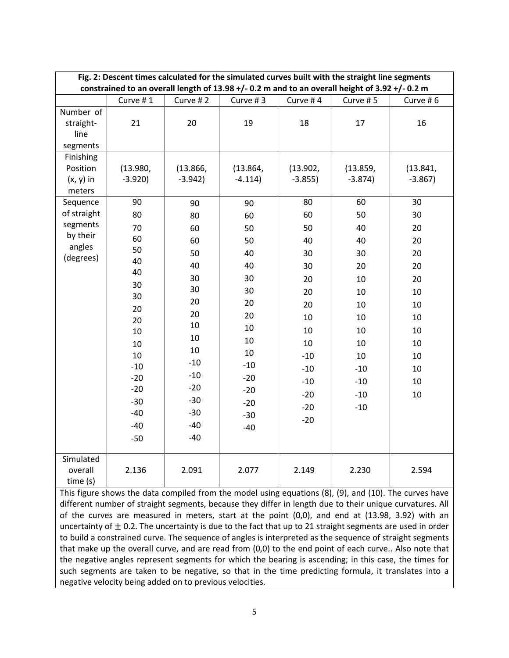| Fig. 2: Descent times calculated for the simulated curves built with the straight line segments<br>constrained to an overall length of 13.98 +/- 0.2 m and to an overall height of 3.92 +/- 0.2 m |                      |                      |                       |                        |                       |                        |  |  |  |  |
|---------------------------------------------------------------------------------------------------------------------------------------------------------------------------------------------------|----------------------|----------------------|-----------------------|------------------------|-----------------------|------------------------|--|--|--|--|
|                                                                                                                                                                                                   | Curve #1             | Curve #2             | Curve #3              | Curve #4               | Curve #5              | Curve #6               |  |  |  |  |
| Number of<br>straight-<br>line<br>segments                                                                                                                                                        | 21                   | 20                   | 19                    | 18                     | 17                    | 16                     |  |  |  |  |
| Finishing<br>Position<br>$(x, y)$ in<br>meters                                                                                                                                                    | (13.980,<br>$-3.920$ | (13.866,<br>$-3.942$ | (13.864,<br>$-4.114)$ | (13.902,<br>$-3.855$ ) | (13.859,<br>$-3.874)$ | (13.841,<br>$-3.867$ ) |  |  |  |  |
| Sequence                                                                                                                                                                                          | 90                   | 90                   | 90                    | 80                     | 60                    | 30                     |  |  |  |  |
| of straight                                                                                                                                                                                       | 80                   | 80                   | 60                    | 60                     | 50                    | 30                     |  |  |  |  |
| segments                                                                                                                                                                                          | 70                   | 60                   | 50                    | 50                     | 40                    | 20                     |  |  |  |  |
| by their<br>angles                                                                                                                                                                                | 60                   | 60                   | 50                    | 40                     | 40                    | 20                     |  |  |  |  |
| (degrees)                                                                                                                                                                                         | 50                   | 50                   | 40                    | 30                     | 30                    | 20                     |  |  |  |  |
|                                                                                                                                                                                                   | 40<br>40             | 40                   | 40                    | 30                     | 20                    | 20                     |  |  |  |  |
|                                                                                                                                                                                                   |                      | 30                   | 30                    | 20                     | 10                    | 20                     |  |  |  |  |
|                                                                                                                                                                                                   | 30<br>30             | 30                   | 30                    | 20                     | 10                    | 10                     |  |  |  |  |
|                                                                                                                                                                                                   | 20                   | 20                   | 20                    | 20                     | 10                    | 10                     |  |  |  |  |
|                                                                                                                                                                                                   | 20                   | 20                   | 20                    | 10                     | 10                    | 10                     |  |  |  |  |
|                                                                                                                                                                                                   | 10                   | 10                   | 10                    | 10                     | 10                    | 10                     |  |  |  |  |
|                                                                                                                                                                                                   | 10                   | 10                   | 10                    | 10                     | 10                    | 10                     |  |  |  |  |
|                                                                                                                                                                                                   | 10                   | 10                   | 10                    | $-10$                  | 10                    | 10                     |  |  |  |  |
|                                                                                                                                                                                                   | $-10$                | $-10$                | $-10$                 | $-10$                  | $-10$                 | 10                     |  |  |  |  |
|                                                                                                                                                                                                   | $-20$                | $-10$                | $-20$                 | $-10$                  | $-10$                 | 10                     |  |  |  |  |
|                                                                                                                                                                                                   | $-20$                | $-20$                | $-20$                 | $-20$                  | $-10$                 | 10                     |  |  |  |  |
|                                                                                                                                                                                                   | $-30$                | $-30$                | $-20$                 | $-20$                  | $-10$                 |                        |  |  |  |  |
|                                                                                                                                                                                                   | $-40$                | $-30$                | $-30$                 | $-20$                  |                       |                        |  |  |  |  |
|                                                                                                                                                                                                   | $-40$                | $-40$                | $-40$                 |                        |                       |                        |  |  |  |  |
|                                                                                                                                                                                                   | $-50$                | $-40$                |                       |                        |                       |                        |  |  |  |  |
| Simulated<br>overall<br>time (s)                                                                                                                                                                  | 2.136                | 2.091                | 2.077                 | 2.149                  | 2.230                 | 2.594                  |  |  |  |  |

This figure shows the data compiled from the model using equations (8), (9), and (10). The curves have different number of straight segments, because they differ in length due to their unique curvatures. All of the curves are measured in meters, start at the point (0,0), and end at (13.98, 3.92) with an uncertainty of  $\pm$  0.2. The uncertainty is due to the fact that up to 21 straight segments are used in order to build a constrained curve. The sequence of angles is interpreted as the sequence of straight segments that make up the overall curve, and are read from (0,0) to the end point of each curve.. Also note that the negative angles represent segments for which the bearing is ascending; in this case, the times for such segments are taken to be negative, so that in the time predicting formula, it translates into a negative velocity being added on to previous velocities.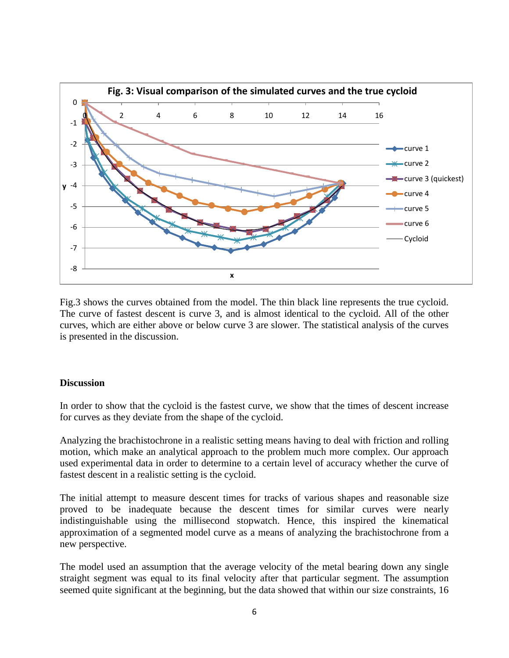

Fig.3 shows the curves obtained from the model. The thin black line represents the true cycloid. The curve of fastest descent is curve 3, and is almost identical to the cycloid. All of the other curves, which are either above or below curve 3 are slower. The statistical analysis of the curves is presented in the discussion.

## **Discussion**

In order to show that the cycloid is the fastest curve, we show that the times of descent increase for curves as they deviate from the shape of the cycloid.

Analyzing the brachistochrone in a realistic setting means having to deal with friction and rolling motion, which make an analytical approach to the problem much more complex. Our approach used experimental data in order to determine to a certain level of accuracy whether the curve of fastest descent in a realistic setting is the cycloid.

The initial attempt to measure descent times for tracks of various shapes and reasonable size proved to be inadequate because the descent times for similar curves were nearly indistinguishable using the millisecond stopwatch. Hence, this inspired the kinematical approximation of a segmented model curve as a means of analyzing the brachistochrone from a new perspective.

The model used an assumption that the average velocity of the metal bearing down any single straight segment was equal to its final velocity after that particular segment. The assumption seemed quite significant at the beginning, but the data showed that within our size constraints, 16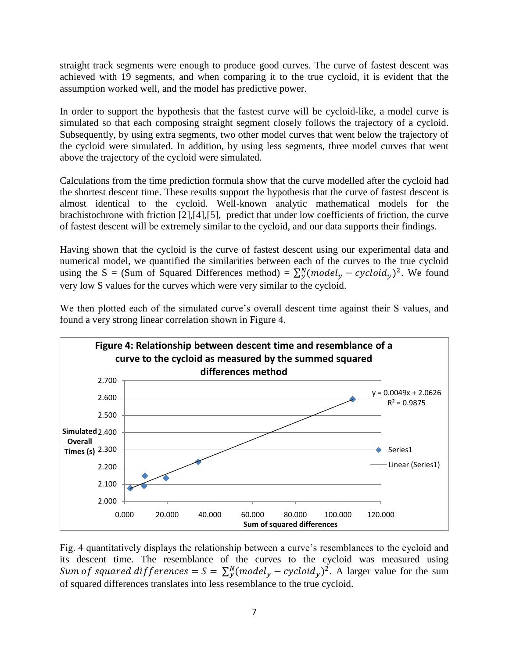straight track segments were enough to produce good curves. The curve of fastest descent was achieved with 19 segments, and when comparing it to the true cycloid, it is evident that the assumption worked well, and the model has predictive power.

In order to support the hypothesis that the fastest curve will be cycloid-like, a model curve is simulated so that each composing straight segment closely follows the trajectory of a cycloid. Subsequently, by using extra segments, two other model curves that went below the trajectory of the cycloid were simulated. In addition, by using less segments, three model curves that went above the trajectory of the cycloid were simulated.

Calculations from the time prediction formula show that the curve modelled after the cycloid had the shortest descent time. These results support the hypothesis that the curve of fastest descent is almost identical to the cycloid. Well-known analytic mathematical models for the brachistochrone with friction [2],[4],[5], predict that under low coefficients of friction, the curve of fastest descent will be extremely similar to the cycloid, and our data supports their findings.

Having shown that the cycloid is the curve of fastest descent using our experimental data and numerical model, we quantified the similarities between each of the curves to the true cycloid using the S = (Sum of Squared Differences method) =  $\sum_{y}^{N} (model_{y} - cycloid_{y})^{2}$ . We found very low S values for the curves which were very similar to the cycloid.



We then plotted each of the simulated curve's overall descent time against their S values, and found a very strong linear correlation shown in Figure 4.

Fig. 4 quantitatively displays the relationship between a curve's resemblances to the cycloid and its descent time. The resemblance of the curves to the cycloid was measured using Sum of squared differences =  $S = \sum_{y}^{N} (model_{y} - cycloid_{y})^{2}$ . A larger value for the sum of squared differences translates into less resemblance to the true cycloid.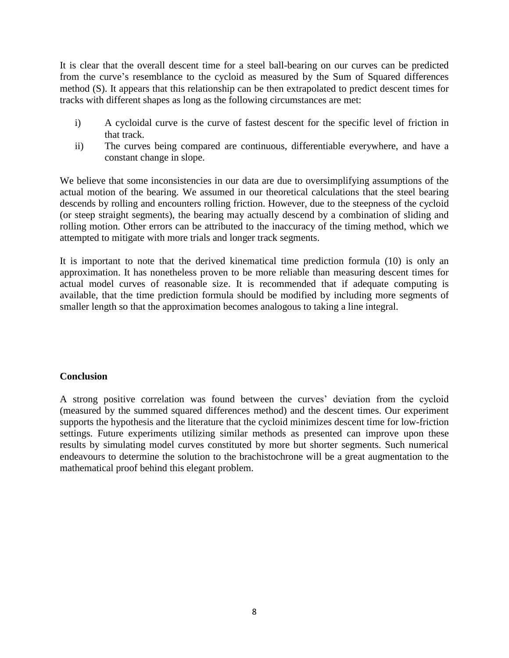It is clear that the overall descent time for a steel ball-bearing on our curves can be predicted from the curve's resemblance to the cycloid as measured by the Sum of Squared differences method (S). It appears that this relationship can be then extrapolated to predict descent times for tracks with different shapes as long as the following circumstances are met:

- i) A cycloidal curve is the curve of fastest descent for the specific level of friction in that track.
- ii) The curves being compared are continuous, differentiable everywhere, and have a constant change in slope.

We believe that some inconsistencies in our data are due to oversimplifying assumptions of the actual motion of the bearing. We assumed in our theoretical calculations that the steel bearing descends by rolling and encounters rolling friction. However, due to the steepness of the cycloid (or steep straight segments), the bearing may actually descend by a combination of sliding and rolling motion. Other errors can be attributed to the inaccuracy of the timing method, which we attempted to mitigate with more trials and longer track segments.

It is important to note that the derived kinematical time prediction formula (10) is only an approximation. It has nonetheless proven to be more reliable than measuring descent times for actual model curves of reasonable size. It is recommended that if adequate computing is available, that the time prediction formula should be modified by including more segments of smaller length so that the approximation becomes analogous to taking a line integral.

# **Conclusion**

A strong positive correlation was found between the curves' deviation from the cycloid (measured by the summed squared differences method) and the descent times. Our experiment supports the hypothesis and the literature that the cycloid minimizes descent time for low-friction settings. Future experiments utilizing similar methods as presented can improve upon these results by simulating model curves constituted by more but shorter segments. Such numerical endeavours to determine the solution to the brachistochrone will be a great augmentation to the mathematical proof behind this elegant problem.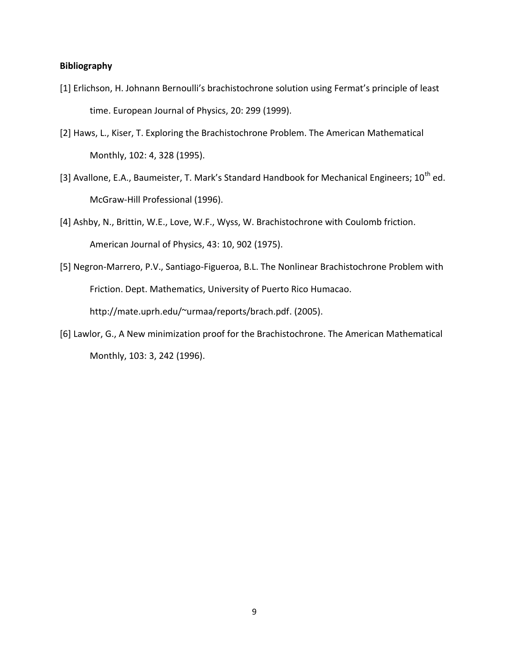### **Bibliography**

- [1] Erlichson, H. Johnann Bernoulli's brachistochrone solution using Fermat's principle of least time. European Journal of Physics, 20: 299 (1999).
- [2] Haws, L., Kiser, T. Exploring the Brachistochrone Problem. The American Mathematical Monthly, 102: 4, 328 (1995).
- [3] Avallone, E.A., Baumeister, T. Mark's Standard Handbook for Mechanical Engineers;  $10^{th}$  ed. McGraw-Hill Professional (1996).
- [4] Ashby, N., Brittin, W.E., Love, W.F., Wyss, W. Brachistochrone with Coulomb friction. American Journal of Physics, 43: 10, 902 (1975).
- [5] Negron-Marrero, P.V., Santiago-Figueroa, B.L. The Nonlinear Brachistochrone Problem with Friction. Dept. Mathematics, University of Puerto Rico Humacao. [http://mate.uprh.edu/~urmaa/reports/brach.pdf.](http://mate.uprh.edu/~urmaa/reports/brach.pdf) (2005).
- [6] Lawlor, G., A New minimization proof for the Brachistochrone. The American Mathematical Monthly, 103: 3, 242 (1996).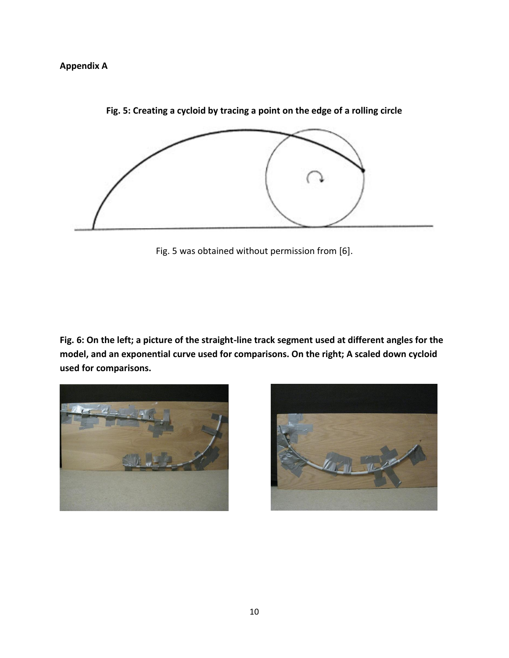# **Appendix A**



**Fig. 5: Creating a cycloid by tracing a point on the edge of a rolling circle**

Fig. 5 was obtained without permission from [6].

**Fig. 6: On the left; a picture of the straight-line track segment used at different angles for the model, and an exponential curve used for comparisons. On the right; A scaled down cycloid used for comparisons.**